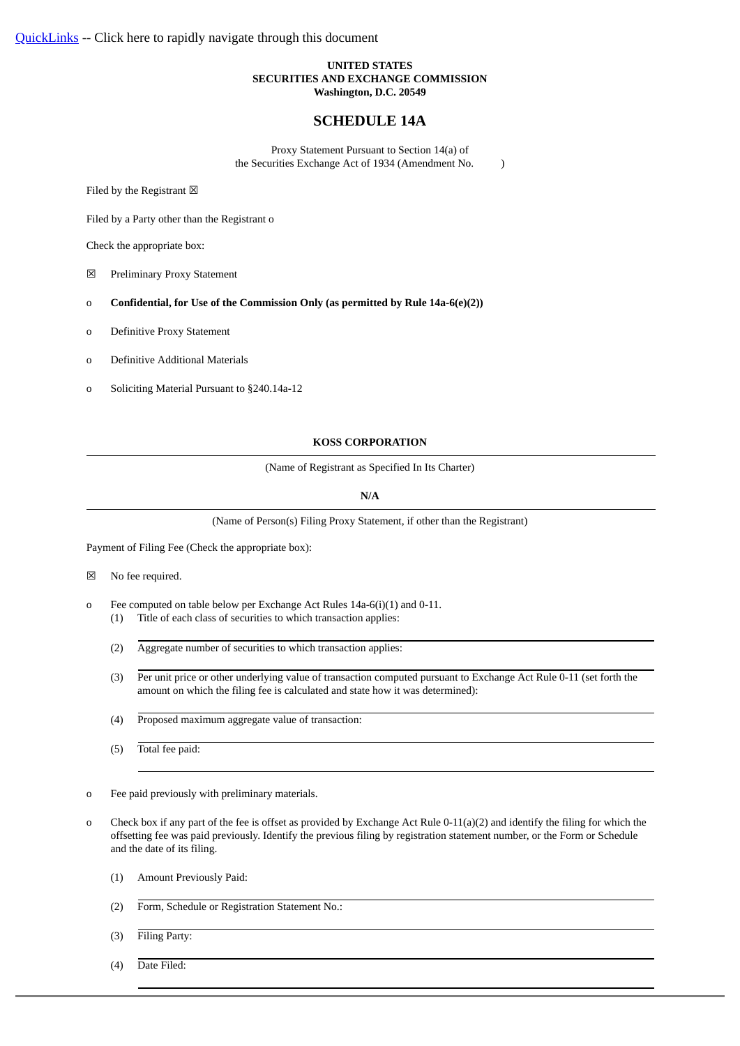#### **UNITED STATES SECURITIES AND EXCHANGE COMMISSION Washington, D.C. 20549**

# **SCHEDULE 14A**

Proxy Statement Pursuant to Section 14(a) of the Securities Exchange Act of 1934 (Amendment No. )

Filed by the Registrant  $\boxtimes$ 

Filed by a Party other than the Registrant o

Check the appropriate box:

☒ Preliminary Proxy Statement

o **Confidential, for Use of the Commission Only (as permitted by Rule 14a-6(e)(2))**

o Definitive Proxy Statement

o Definitive Additional Materials

o Soliciting Material Pursuant to §240.14a-12

#### **KOSS CORPORATION**

(Name of Registrant as Specified In Its Charter)

**N/A**

(Name of Person(s) Filing Proxy Statement, if other than the Registrant)

Payment of Filing Fee (Check the appropriate box):

☒ No fee required.

- o Fee computed on table below per Exchange Act Rules 14a-6(i)(1) and 0-11.
	- (1) Title of each class of securities to which transaction applies:
	- (2) Aggregate number of securities to which transaction applies:
	- (3) Per unit price or other underlying value of transaction computed pursuant to Exchange Act Rule 0-11 (set forth the amount on which the filing fee is calculated and state how it was determined):
	- (4) Proposed maximum aggregate value of transaction:
	- (5) Total fee paid:

o Fee paid previously with preliminary materials.

- o Check box if any part of the fee is offset as provided by Exchange Act Rule 0-11(a)(2) and identify the filing for which the offsetting fee was paid previously. Identify the previous filing by registration statement number, or the Form or Schedule and the date of its filing.
	- (1) Amount Previously Paid:
	- (2) Form, Schedule or Registration Statement No.:
	- (3) Filing Party:
	- (4) Date Filed: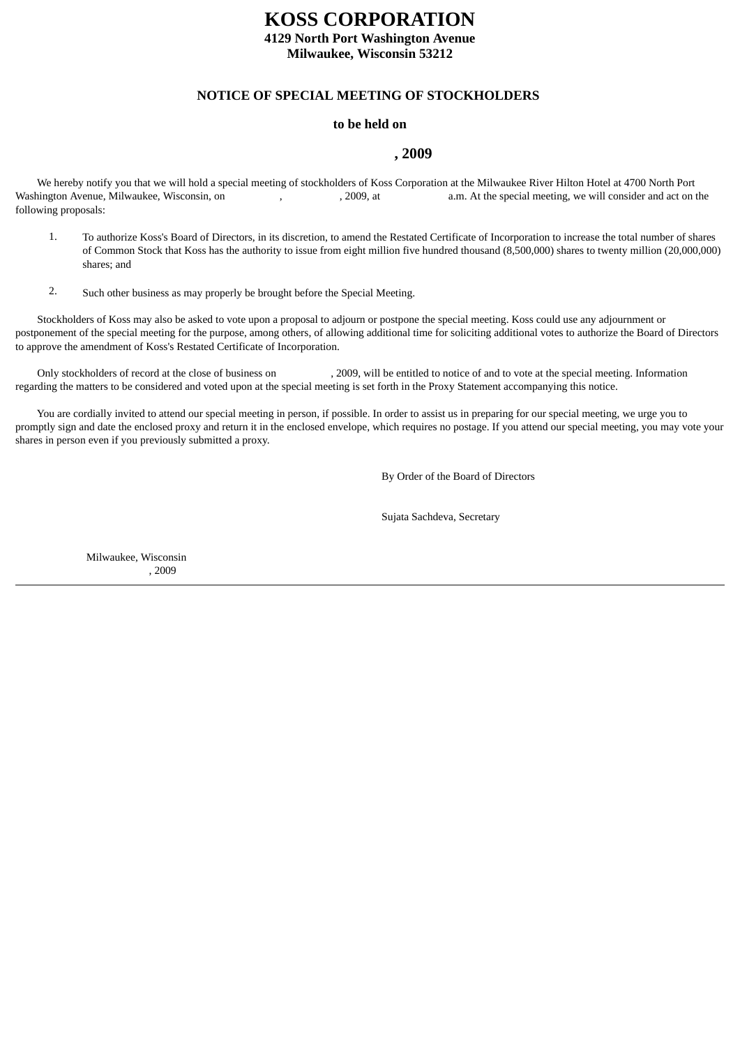# **KOSS CORPORATION**

**4129 North Port Washington Avenue Milwaukee, Wisconsin 53212**

# **NOTICE OF SPECIAL MEETING OF STOCKHOLDERS**

# **to be held on**

# **, 2009**

<span id="page-1-0"></span> We hereby notify you that we will hold a special meeting of stockholders of Koss Corporation at the Milwaukee River Hilton Hotel at 4700 North Port Washington Avenue, Milwaukee, Wisconsin, on , , 2009, at a.m. At the special meeting, we will consider and act on the following proposals:

- 1. To authorize Koss's Board of Directors, in its discretion, to amend the Restated Certificate of Incorporation to increase the total number of shares of Common Stock that Koss has the authority to issue from eight million five hundred thousand (8,500,000) shares to twenty million (20,000,000) shares; and
- 2. Such other business as may properly be brought before the Special Meeting.

 Stockholders of Koss may also be asked to vote upon a proposal to adjourn or postpone the special meeting. Koss could use any adjournment or postponement of the special meeting for the purpose, among others, of allowing additional time for soliciting additional votes to authorize the Board of Directors to approve the amendment of Koss's Restated Certificate of Incorporation.

Only stockholders of record at the close of business on , 2009, will be entitled to notice of and to vote at the special meeting. Information regarding the matters to be considered and voted upon at the special meeting is set forth in the Proxy Statement accompanying this notice.

 You are cordially invited to attend our special meeting in person, if possible. In order to assist us in preparing for our special meeting, we urge you to promptly sign and date the enclosed proxy and return it in the enclosed envelope, which requires no postage. If you attend our special meeting, you may vote your shares in person even if you previously submitted a proxy.

By Order of the Board of Directors

Sujata Sachdeva, Secretary

Milwaukee, Wisconsin , 2009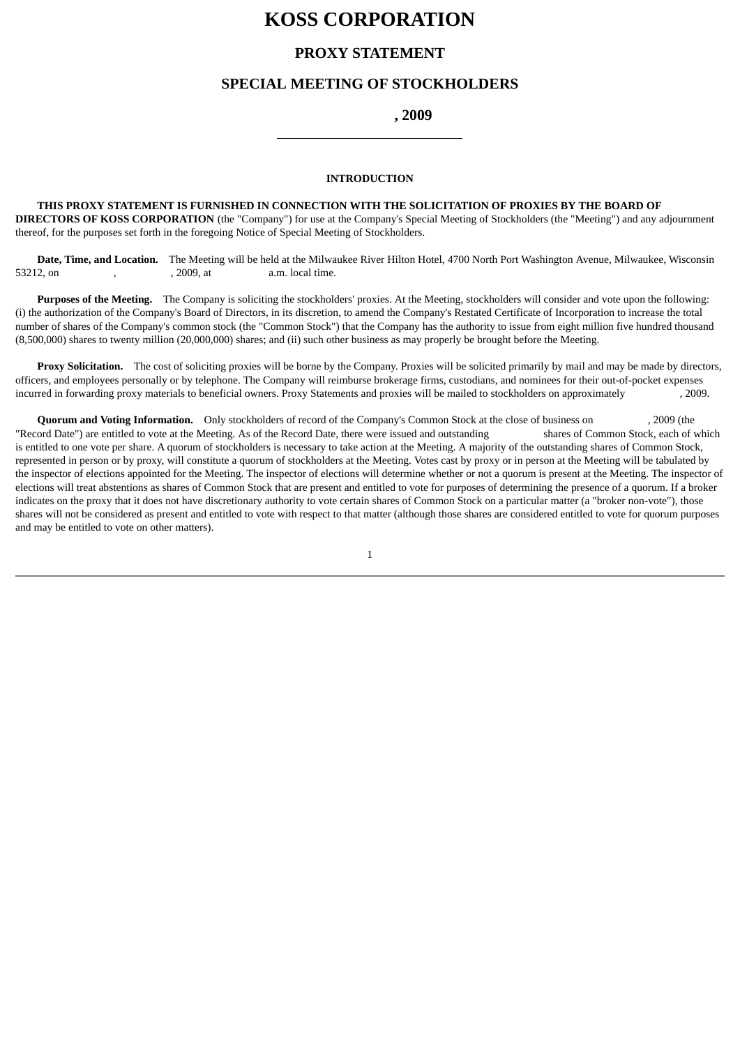# **KOSS CORPORATION**

# **PROXY STATEMENT**

# **SPECIAL MEETING OF STOCKHOLDERS**

 **, 2009**

### **INTRODUCTION**

 **THIS PROXY STATEMENT IS FURNISHED IN CONNECTION WITH THE SOLICITATION OF PROXIES BY THE BOARD OF DIRECTORS OF KOSS CORPORATION** (the "Company") for use at the Company's Special Meeting of Stockholders (the "Meeting") and any adjournment thereof, for the purposes set forth in the foregoing Notice of Special Meeting of Stockholders.

 **Date, Time, and Location.** The Meeting will be held at the Milwaukee River Hilton Hotel, 4700 North Port Washington Avenue, Milwaukee, Wisconsin 53212, on , , , , , , , , 2009, at a.m. local time.

 **Purposes of the Meeting.** The Company is soliciting the stockholders' proxies. At the Meeting, stockholders will consider and vote upon the following: (i) the authorization of the Company's Board of Directors, in its discretion, to amend the Company's Restated Certificate of Incorporation to increase the total number of shares of the Company's common stock (the "Common Stock") that the Company has the authority to issue from eight million five hundred thousand (8,500,000) shares to twenty million (20,000,000) shares; and (ii) such other business as may properly be brought before the Meeting.

**Proxy Solicitation.** The cost of soliciting proxies will be borne by the Company. Proxies will be solicited primarily by mail and may be made by directors, officers, and employees personally or by telephone. The Company will reimburse brokerage firms, custodians, and nominees for their out-of-pocket expenses incurred in forwarding proxy materials to beneficial owners. Proxy Statements and proxies will be mailed to stockholders on approximately , 2009.

 **Quorum and Voting Information.** Only stockholders of record of the Company's Common Stock at the close of business on , 2009 (the "Record Date") are entitled to vote at the Meeting. As of the Record Date, there were issued and outstanding shares of Common Stock, each of which is entitled to one vote per share. A quorum of stockholders is necessary to take action at the Meeting. A majority of the outstanding shares of Common Stock, represented in person or by proxy, will constitute a quorum of stockholders at the Meeting. Votes cast by proxy or in person at the Meeting will be tabulated by the inspector of elections appointed for the Meeting. The inspector of elections will determine whether or not a quorum is present at the Meeting. The inspector of elections will treat abstentions as shares of Common Stock that are present and entitled to vote for purposes of determining the presence of a quorum. If a broker indicates on the proxy that it does not have discretionary authority to vote certain shares of Common Stock on a particular matter (a "broker non-vote"), those shares will not be considered as present and entitled to vote with respect to that matter (although those shares are considered entitled to vote for quorum purposes and may be entitled to vote on other matters).

1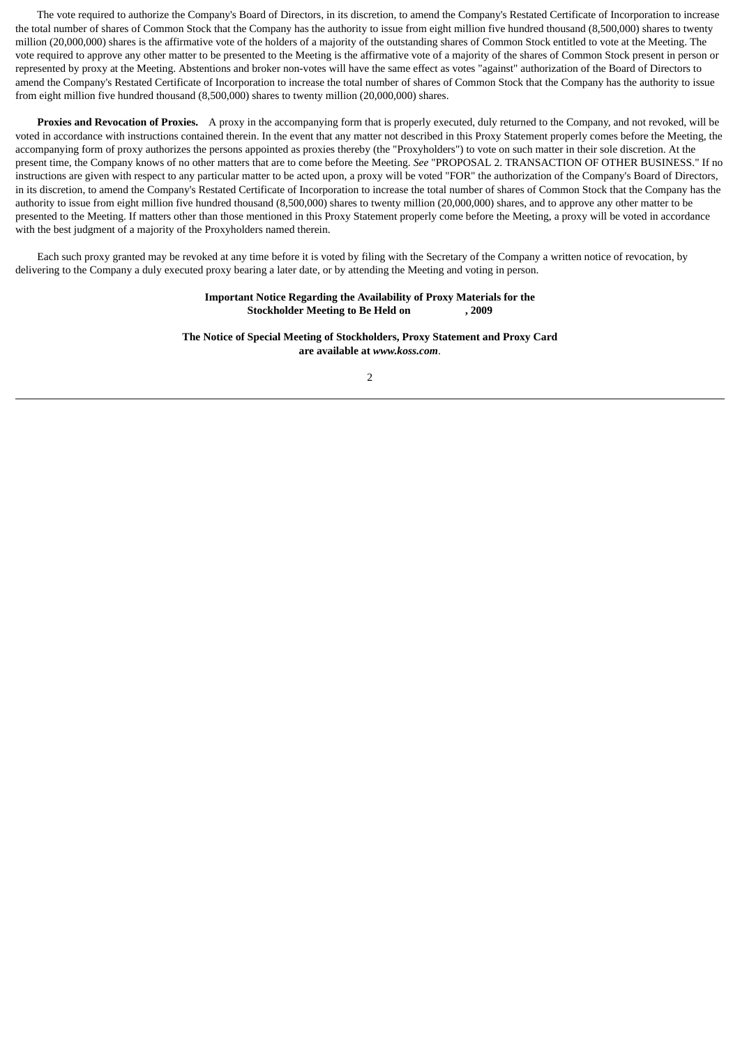The vote required to authorize the Company's Board of Directors, in its discretion, to amend the Company's Restated Certificate of Incorporation to increase the total number of shares of Common Stock that the Company has the authority to issue from eight million five hundred thousand (8,500,000) shares to twenty million (20,000,000) shares is the affirmative vote of the holders of a majority of the outstanding shares of Common Stock entitled to vote at the Meeting. The vote required to approve any other matter to be presented to the Meeting is the affirmative vote of a majority of the shares of Common Stock present in person or represented by proxy at the Meeting. Abstentions and broker non-votes will have the same effect as votes "against" authorization of the Board of Directors to amend the Company's Restated Certificate of Incorporation to increase the total number of shares of Common Stock that the Company has the authority to issue from eight million five hundred thousand (8,500,000) shares to twenty million (20,000,000) shares.

 **Proxies and Revocation of Proxies.** A proxy in the accompanying form that is properly executed, duly returned to the Company, and not revoked, will be voted in accordance with instructions contained therein. In the event that any matter not described in this Proxy Statement properly comes before the Meeting, the accompanying form of proxy authorizes the persons appointed as proxies thereby (the "Proxyholders") to vote on such matter in their sole discretion. At the present time, the Company knows of no other matters that are to come before the Meeting. *See* "PROPOSAL 2. TRANSACTION OF OTHER BUSINESS." If no instructions are given with respect to any particular matter to be acted upon, a proxy will be voted "FOR" the authorization of the Company's Board of Directors, in its discretion, to amend the Company's Restated Certificate of Incorporation to increase the total number of shares of Common Stock that the Company has the authority to issue from eight million five hundred thousand (8,500,000) shares to twenty million (20,000,000) shares, and to approve any other matter to be presented to the Meeting. If matters other than those mentioned in this Proxy Statement properly come before the Meeting, a proxy will be voted in accordance with the best judgment of a majority of the Proxyholders named therein.

 Each such proxy granted may be revoked at any time before it is voted by filing with the Secretary of the Company a written notice of revocation, by delivering to the Company a duly executed proxy bearing a later date, or by attending the Meeting and voting in person.

#### **Important Notice Regarding the Availability of Proxy Materials for the Stockholder Meeting to Be Held on , 2009**

**The Notice of Special Meeting of Stockholders, Proxy Statement and Proxy Card are available at** *www.koss.com*.

2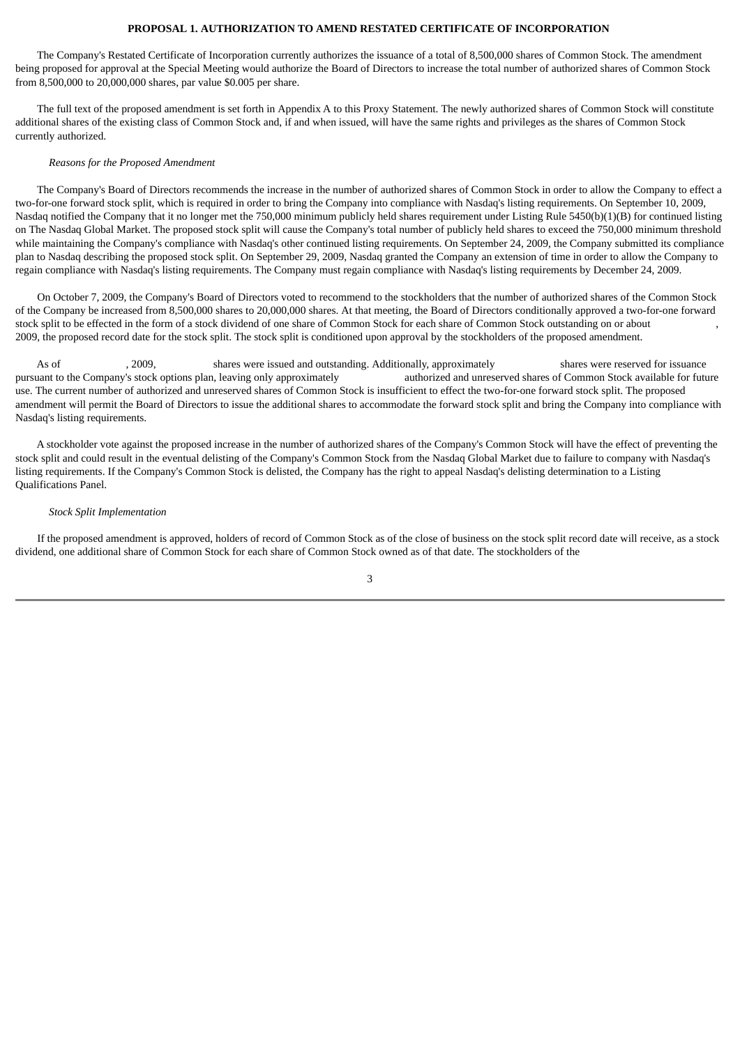#### **PROPOSAL 1. AUTHORIZATION TO AMEND RESTATED CERTIFICATE OF INCORPORATION**

<span id="page-4-0"></span> The Company's Restated Certificate of Incorporation currently authorizes the issuance of a total of 8,500,000 shares of Common Stock. The amendment being proposed for approval at the Special Meeting would authorize the Board of Directors to increase the total number of authorized shares of Common Stock from 8,500,000 to 20,000,000 shares, par value \$0.005 per share.

 The full text of the proposed amendment is set forth in Appendix A to this Proxy Statement. The newly authorized shares of Common Stock will constitute additional shares of the existing class of Common Stock and, if and when issued, will have the same rights and privileges as the shares of Common Stock currently authorized.

#### *Reasons for the Proposed Amendment*

 The Company's Board of Directors recommends the increase in the number of authorized shares of Common Stock in order to allow the Company to effect a two-for-one forward stock split, which is required in order to bring the Company into compliance with Nasdaq's listing requirements. On September 10, 2009, Nasdaq notified the Company that it no longer met the 750,000 minimum publicly held shares requirement under Listing Rule 5450(b)(1)(B) for continued listing on The Nasdaq Global Market. The proposed stock split will cause the Company's total number of publicly held shares to exceed the 750,000 minimum threshold while maintaining the Company's compliance with Nasdaq's other continued listing requirements. On September 24, 2009, the Company submitted its compliance plan to Nasdaq describing the proposed stock split. On September 29, 2009, Nasdaq granted the Company an extension of time in order to allow the Company to regain compliance with Nasdaq's listing requirements. The Company must regain compliance with Nasdaq's listing requirements by December 24, 2009.

 On October 7, 2009, the Company's Board of Directors voted to recommend to the stockholders that the number of authorized shares of the Common Stock of the Company be increased from 8,500,000 shares to 20,000,000 shares. At that meeting, the Board of Directors conditionally approved a two-for-one forward stock split to be effected in the form of a stock dividend of one share of Common Stock for each share of Common Stock outstanding on or about , 2009, the proposed record date for the stock split. The stock split is conditioned upon approval by the stockholders of the proposed amendment.

As of face of the constants a shares were issued and outstanding. Additionally, approximately shares were reserved for issuance pursuant to the Company's stock options plan, leaving only approximately **authorized and unreserved shares of Common Stock available for future** use. The current number of authorized and unreserved shares of Common Stock is insufficient to effect the two-for-one forward stock split. The proposed amendment will permit the Board of Directors to issue the additional shares to accommodate the forward stock split and bring the Company into compliance with Nasdaq's listing requirements.

 A stockholder vote against the proposed increase in the number of authorized shares of the Company's Common Stock will have the effect of preventing the stock split and could result in the eventual delisting of the Company's Common Stock from the Nasdaq Global Market due to failure to company with Nasdaq's listing requirements. If the Company's Common Stock is delisted, the Company has the right to appeal Nasdaq's delisting determination to a Listing Qualifications Panel.

#### *Stock Split Implementation*

 If the proposed amendment is approved, holders of record of Common Stock as of the close of business on the stock split record date will receive, as a stock dividend, one additional share of Common Stock for each share of Common Stock owned as of that date. The stockholders of the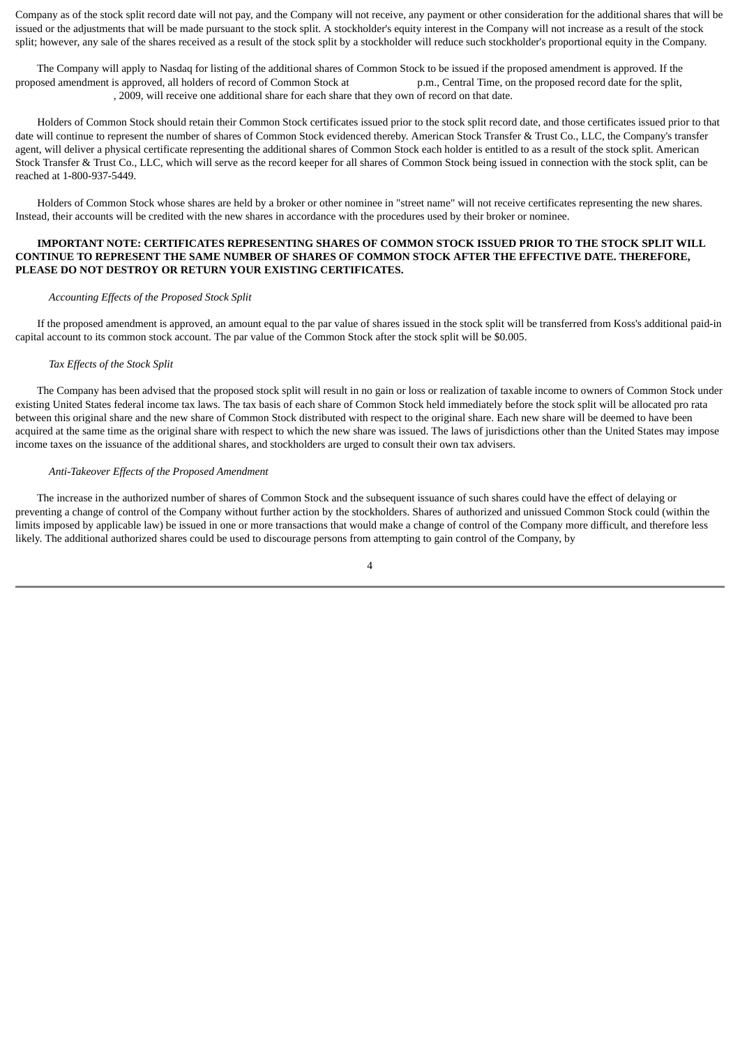Company as of the stock split record date will not pay, and the Company will not receive, any payment or other consideration for the additional shares that will be issued or the adjustments that will be made pursuant to the stock split. A stockholder's equity interest in the Company will not increase as a result of the stock split; however, any sale of the shares received as a result of the stock split by a stockholder will reduce such stockholder's proportional equity in the Company.

 The Company will apply to Nasdaq for listing of the additional shares of Common Stock to be issued if the proposed amendment is approved. If the proposed amendment is approved, all holders of record of Common Stock at p.m., Central Time, on the proposed record date for the split, , 2009, will receive one additional share for each share that they own of record on that date.

 Holders of Common Stock should retain their Common Stock certificates issued prior to the stock split record date, and those certificates issued prior to that date will continue to represent the number of shares of Common Stock evidenced thereby. American Stock Transfer & Trust Co., LLC, the Company's transfer agent, will deliver a physical certificate representing the additional shares of Common Stock each holder is entitled to as a result of the stock split. American Stock Transfer & Trust Co., LLC, which will serve as the record keeper for all shares of Common Stock being issued in connection with the stock split, can be reached at 1-800-937-5449.

 Holders of Common Stock whose shares are held by a broker or other nominee in "street name" will not receive certificates representing the new shares. Instead, their accounts will be credited with the new shares in accordance with the procedures used by their broker or nominee.

### **IMPORTANT NOTE: CERTIFICATES REPRESENTING SHARES OF COMMON STOCK ISSUED PRIOR TO THE STOCK SPLIT WILL CONTINUE TO REPRESENT THE SAME NUMBER OF SHARES OF COMMON STOCK AFTER THE EFFECTIVE DATE. THEREFORE, PLEASE DO NOT DESTROY OR RETURN YOUR EXISTING CERTIFICATES.**

#### *Accounting Effects of the Proposed Stock Split*

 If the proposed amendment is approved, an amount equal to the par value of shares issued in the stock split will be transferred from Koss's additional paid-in capital account to its common stock account. The par value of the Common Stock after the stock split will be \$0.005.

#### *Tax Effects of the Stock Split*

 The Company has been advised that the proposed stock split will result in no gain or loss or realization of taxable income to owners of Common Stock under existing United States federal income tax laws. The tax basis of each share of Common Stock held immediately before the stock split will be allocated pro rata between this original share and the new share of Common Stock distributed with respect to the original share. Each new share will be deemed to have been acquired at the same time as the original share with respect to which the new share was issued. The laws of jurisdictions other than the United States may impose income taxes on the issuance of the additional shares, and stockholders are urged to consult their own tax advisers.

#### *Anti-Takeover Effects of the Proposed Amendment*

 The increase in the authorized number of shares of Common Stock and the subsequent issuance of such shares could have the effect of delaying or preventing a change of control of the Company without further action by the stockholders. Shares of authorized and unissued Common Stock could (within the limits imposed by applicable law) be issued in one or more transactions that would make a change of control of the Company more difficult, and therefore less likely. The additional authorized shares could be used to discourage persons from attempting to gain control of the Company, by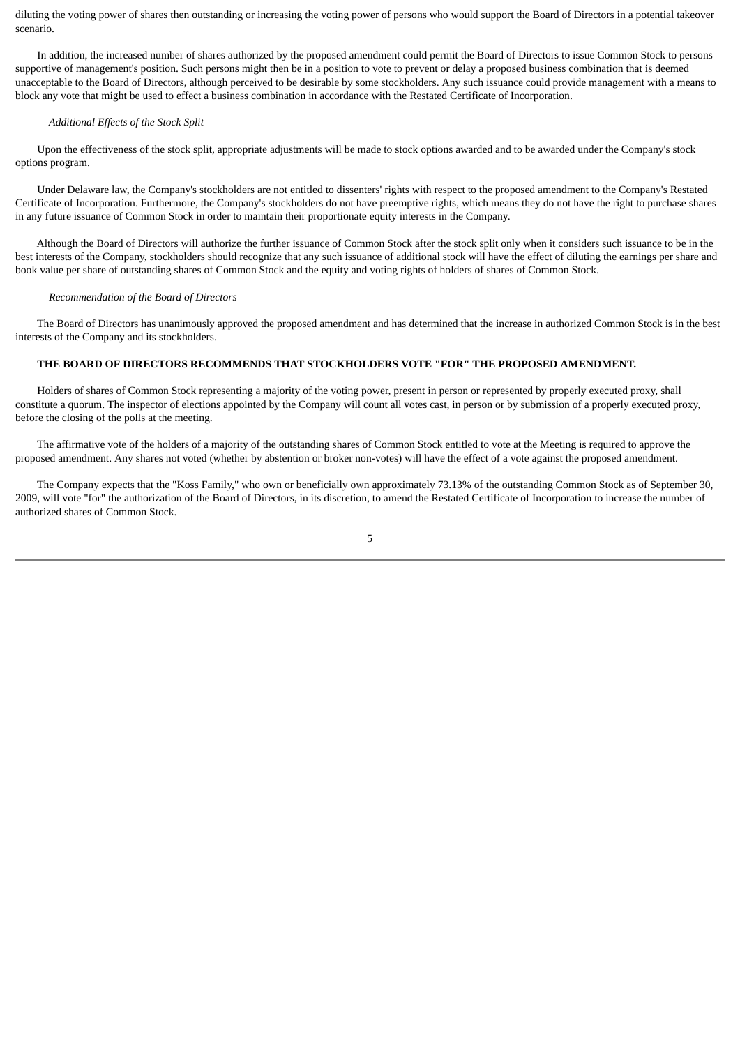diluting the voting power of shares then outstanding or increasing the voting power of persons who would support the Board of Directors in a potential takeover scenario.

 In addition, the increased number of shares authorized by the proposed amendment could permit the Board of Directors to issue Common Stock to persons supportive of management's position. Such persons might then be in a position to vote to prevent or delay a proposed business combination that is deemed unacceptable to the Board of Directors, although perceived to be desirable by some stockholders. Any such issuance could provide management with a means to block any vote that might be used to effect a business combination in accordance with the Restated Certificate of Incorporation.

#### *Additional Effects of the Stock Split*

 Upon the effectiveness of the stock split, appropriate adjustments will be made to stock options awarded and to be awarded under the Company's stock options program.

 Under Delaware law, the Company's stockholders are not entitled to dissenters' rights with respect to the proposed amendment to the Company's Restated Certificate of Incorporation. Furthermore, the Company's stockholders do not have preemptive rights, which means they do not have the right to purchase shares in any future issuance of Common Stock in order to maintain their proportionate equity interests in the Company.

 Although the Board of Directors will authorize the further issuance of Common Stock after the stock split only when it considers such issuance to be in the best interests of the Company, stockholders should recognize that any such issuance of additional stock will have the effect of diluting the earnings per share and book value per share of outstanding shares of Common Stock and the equity and voting rights of holders of shares of Common Stock.

#### *Recommendation of the Board of Directors*

 The Board of Directors has unanimously approved the proposed amendment and has determined that the increase in authorized Common Stock is in the best interests of the Company and its stockholders.

# **THE BOARD OF DIRECTORS RECOMMENDS THAT STOCKHOLDERS VOTE "FOR" THE PROPOSED AMENDMENT.**

 Holders of shares of Common Stock representing a majority of the voting power, present in person or represented by properly executed proxy, shall constitute a quorum. The inspector of elections appointed by the Company will count all votes cast, in person or by submission of a properly executed proxy, before the closing of the polls at the meeting.

 The affirmative vote of the holders of a majority of the outstanding shares of Common Stock entitled to vote at the Meeting is required to approve the proposed amendment. Any shares not voted (whether by abstention or broker non-votes) will have the effect of a vote against the proposed amendment.

 The Company expects that the "Koss Family," who own or beneficially own approximately 73.13% of the outstanding Common Stock as of September 30, 2009, will vote "for" the authorization of the Board of Directors, in its discretion, to amend the Restated Certificate of Incorporation to increase the number of authorized shares of Common Stock.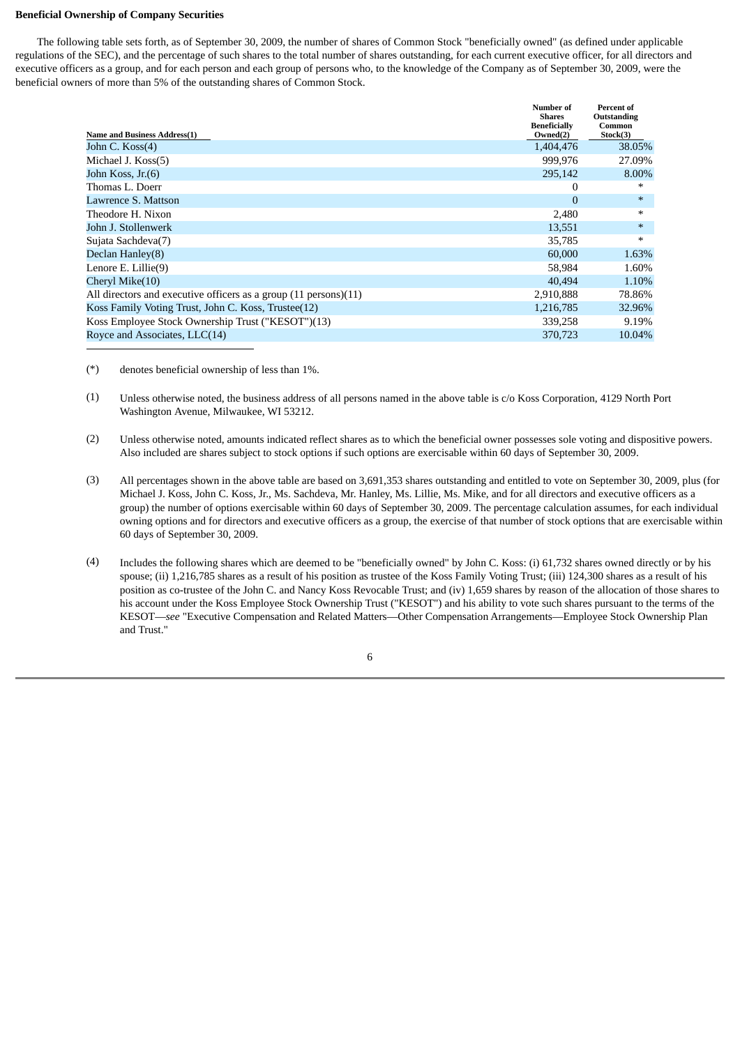#### **Beneficial Ownership of Company Securities**

 The following table sets forth, as of September 30, 2009, the number of shares of Common Stock "beneficially owned" (as defined under applicable regulations of the SEC), and the percentage of such shares to the total number of shares outstanding, for each current executive officer, for all directors and executive officers as a group, and for each person and each group of persons who, to the knowledge of the Company as of September 30, 2009, were the beneficial owners of more than 5% of the outstanding shares of Common Stock.

|                                                                  | Number of<br><b>Shares</b>      | <b>Percent of</b><br>Outstanding |
|------------------------------------------------------------------|---------------------------------|----------------------------------|
| Name and Business Address(1)                                     | <b>Beneficially</b><br>Owned(2) | Common<br>Stock(3)               |
| John C. Koss(4)                                                  | 1,404,476                       | 38.05%                           |
| Michael J. Koss(5)                                               | 999.976                         | 27.09%                           |
| John Koss, Jr.(6)                                                | 295,142                         | 8.00%                            |
| Thomas L. Doerr                                                  | 0                               | *                                |
| Lawrence S. Mattson                                              | $\overline{0}$                  | $*$                              |
| Theodore H. Nixon                                                | 2,480                           | $\ast$                           |
| John J. Stollenwerk                                              | 13,551                          | $\ast$                           |
| Sujata Sachdeva(7)                                               | 35,785                          | $*$                              |
| Declan Hanley(8)                                                 | 60,000                          | 1.63%                            |
| Lenore E. Lillie(9)                                              | 58,984                          | 1.60%                            |
| Cheryl Mike(10)                                                  | 40.494                          | 1.10%                            |
| All directors and executive officers as a group (11 persons)(11) | 2,910,888                       | 78.86%                           |
| Koss Family Voting Trust, John C. Koss, Trustee(12)              | 1,216,785                       | 32.96%                           |
| Koss Employee Stock Ownership Trust ("KESOT")(13)                | 339,258                         | 9.19%                            |
| Royce and Associates, LLC(14)                                    | 370,723                         | 10.04%                           |

(\*) denotes beneficial ownership of less than 1%.

- (1) Unless otherwise noted, the business address of all persons named in the above table is c/o Koss Corporation, 4129 North Port Washington Avenue, Milwaukee, WI 53212.
- (2) Unless otherwise noted, amounts indicated reflect shares as to which the beneficial owner possesses sole voting and dispositive powers. Also included are shares subject to stock options if such options are exercisable within 60 days of September 30, 2009.
- (3) All percentages shown in the above table are based on 3,691,353 shares outstanding and entitled to vote on September 30, 2009, plus (for Michael J. Koss, John C. Koss, Jr., Ms. Sachdeva, Mr. Hanley, Ms. Lillie, Ms. Mike, and for all directors and executive officers as a group) the number of options exercisable within 60 days of September 30, 2009. The percentage calculation assumes, for each individual owning options and for directors and executive officers as a group, the exercise of that number of stock options that are exercisable within 60 days of September 30, 2009.
- (4) Includes the following shares which are deemed to be "beneficially owned" by John C. Koss: (i) 61,732 shares owned directly or by his spouse; (ii) 1,216,785 shares as a result of his position as trustee of the Koss Family Voting Trust; (iii) 124,300 shares as a result of his position as co-trustee of the John C. and Nancy Koss Revocable Trust; and (iv) 1,659 shares by reason of the allocation of those shares to his account under the Koss Employee Stock Ownership Trust ("KESOT") and his ability to vote such shares pursuant to the terms of the KESOT—*see* "Executive Compensation and Related Matters—Other Compensation Arrangements—Employee Stock Ownership Plan and Trust."

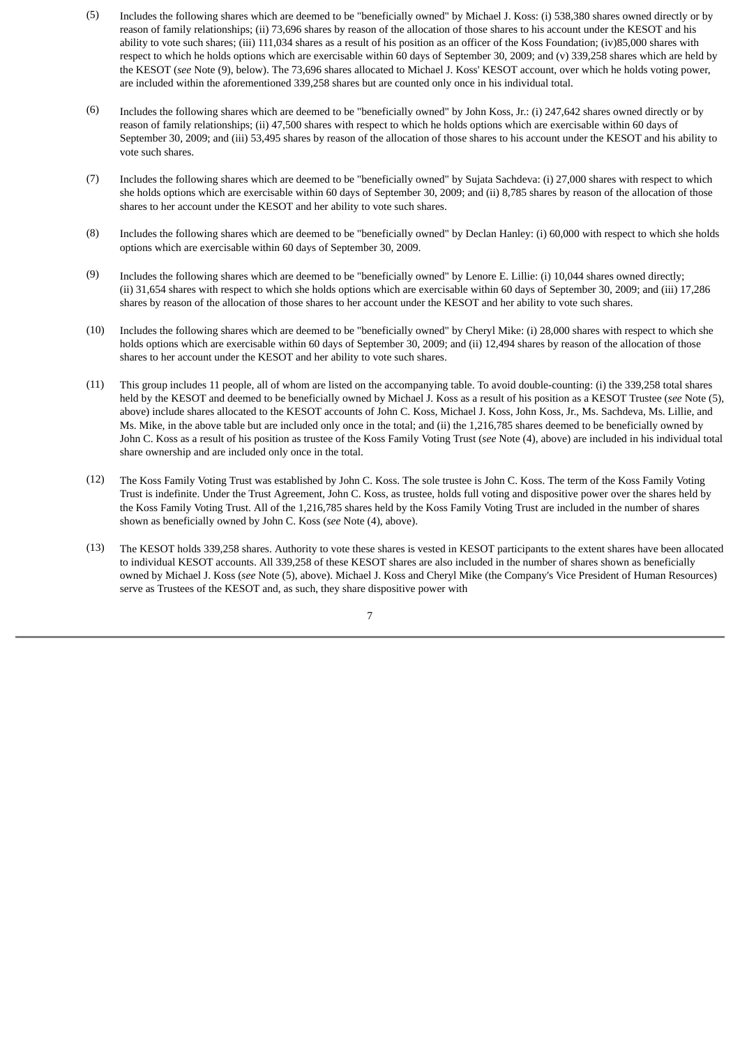- (5) Includes the following shares which are deemed to be "beneficially owned" by Michael J. Koss: (i) 538,380 shares owned directly or by reason of family relationships; (ii) 73,696 shares by reason of the allocation of those shares to his account under the KESOT and his ability to vote such shares; (iii) 111,034 shares as a result of his position as an officer of the Koss Foundation; (iv)85,000 shares with respect to which he holds options which are exercisable within 60 days of September 30, 2009; and (v) 339,258 shares which are held by the KESOT (*see* Note (9), below). The 73,696 shares allocated to Michael J. Koss' KESOT account, over which he holds voting power, are included within the aforementioned 339,258 shares but are counted only once in his individual total.
- (6) Includes the following shares which are deemed to be "beneficially owned" by John Koss, Jr.: (i) 247,642 shares owned directly or by reason of family relationships; (ii) 47,500 shares with respect to which he holds options which are exercisable within 60 days of September 30, 2009; and (iii) 53,495 shares by reason of the allocation of those shares to his account under the KESOT and his ability to vote such shares.
- (7) Includes the following shares which are deemed to be "beneficially owned" by Sujata Sachdeva: (i) 27,000 shares with respect to which she holds options which are exercisable within 60 days of September 30, 2009; and (ii) 8,785 shares by reason of the allocation of those shares to her account under the KESOT and her ability to vote such shares.
- (8) Includes the following shares which are deemed to be "beneficially owned" by Declan Hanley: (i) 60,000 with respect to which she holds options which are exercisable within 60 days of September 30, 2009.
- (9) Includes the following shares which are deemed to be "beneficially owned" by Lenore E. Lillie: (i) 10,044 shares owned directly; (ii) 31,654 shares with respect to which she holds options which are exercisable within 60 days of September 30, 2009; and (iii) 17,286 shares by reason of the allocation of those shares to her account under the KESOT and her ability to vote such shares.
- (10) Includes the following shares which are deemed to be "beneficially owned" by Cheryl Mike: (i) 28,000 shares with respect to which she holds options which are exercisable within 60 days of September 30, 2009; and (ii) 12,494 shares by reason of the allocation of those shares to her account under the KESOT and her ability to vote such shares.
- (11) This group includes 11 people, all of whom are listed on the accompanying table. To avoid double-counting: (i) the 339,258 total shares held by the KESOT and deemed to be beneficially owned by Michael J. Koss as a result of his position as a KESOT Trustee (*see* Note (5), above) include shares allocated to the KESOT accounts of John C. Koss, Michael J. Koss, John Koss, Jr., Ms. Sachdeva, Ms. Lillie, and Ms. Mike, in the above table but are included only once in the total; and (ii) the 1,216,785 shares deemed to be beneficially owned by John C. Koss as a result of his position as trustee of the Koss Family Voting Trust (*see* Note (4), above) are included in his individual total share ownership and are included only once in the total.
- (12) The Koss Family Voting Trust was established by John C. Koss. The sole trustee is John C. Koss. The term of the Koss Family Voting Trust is indefinite. Under the Trust Agreement, John C. Koss, as trustee, holds full voting and dispositive power over the shares held by the Koss Family Voting Trust. All of the 1,216,785 shares held by the Koss Family Voting Trust are included in the number of shares shown as beneficially owned by John C. Koss (*see* Note (4), above).
- (13) The KESOT holds 339,258 shares. Authority to vote these shares is vested in KESOT participants to the extent shares have been allocated to individual KESOT accounts. All 339,258 of these KESOT shares are also included in the number of shares shown as beneficially owned by Michael J. Koss (*see* Note (5), above). Michael J. Koss and Cheryl Mike (the Company's Vice President of Human Resources) serve as Trustees of the KESOT and, as such, they share dispositive power with

7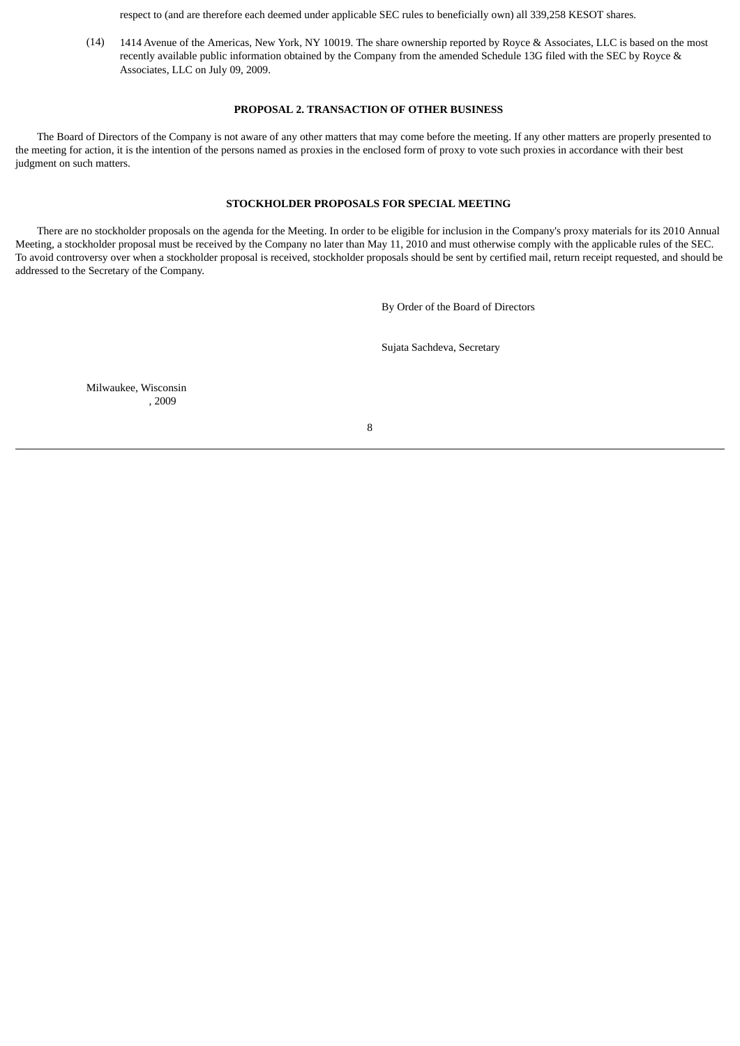respect to (and are therefore each deemed under applicable SEC rules to beneficially own) all 339,258 KESOT shares.

(14) 1414 Avenue of the Americas, New York, NY 10019. The share ownership reported by Royce & Associates, LLC is based on the most recently available public information obtained by the Company from the amended Schedule 13G filed with the SEC by Royce & Associates, LLC on July 09, 2009.

#### **PROPOSAL 2. TRANSACTION OF OTHER BUSINESS**

<span id="page-9-0"></span> The Board of Directors of the Company is not aware of any other matters that may come before the meeting. If any other matters are properly presented to the meeting for action, it is the intention of the persons named as proxies in the enclosed form of proxy to vote such proxies in accordance with their best judgment on such matters.

## **STOCKHOLDER PROPOSALS FOR SPECIAL MEETING**

<span id="page-9-1"></span> There are no stockholder proposals on the agenda for the Meeting. In order to be eligible for inclusion in the Company's proxy materials for its 2010 Annual Meeting, a stockholder proposal must be received by the Company no later than May 11, 2010 and must otherwise comply with the applicable rules of the SEC. To avoid controversy over when a stockholder proposal is received, stockholder proposals should be sent by certified mail, return receipt requested, and should be addressed to the Secretary of the Company.

By Order of the Board of Directors

Sujata Sachdeva, Secretary

Milwaukee, Wisconsin , 2009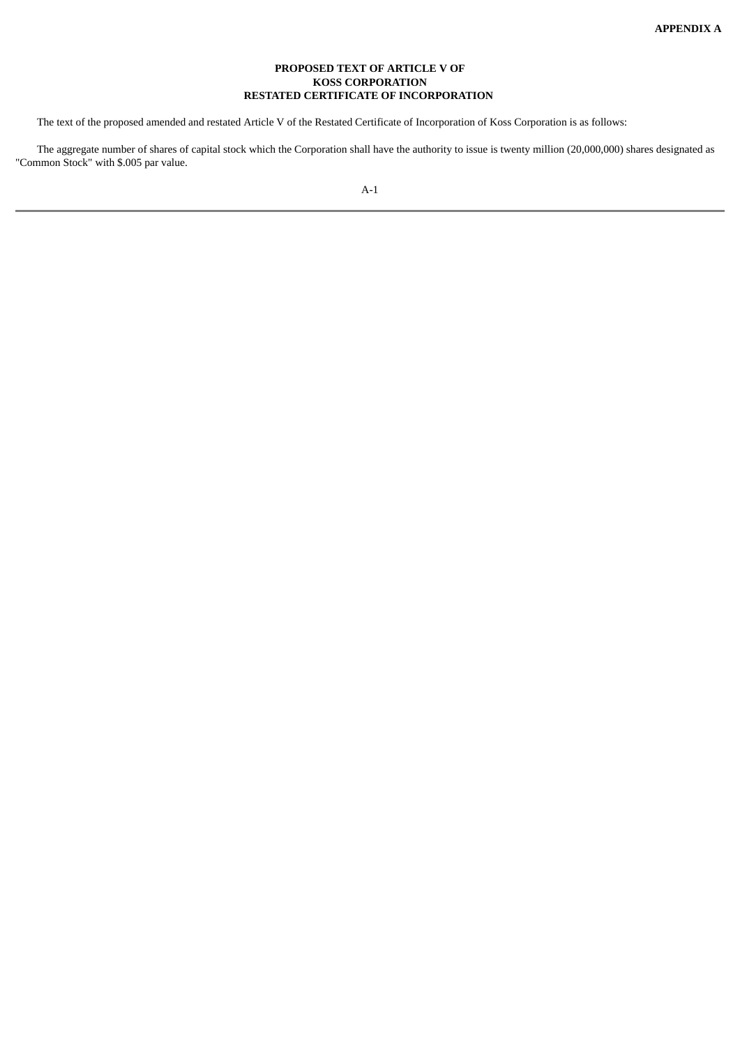## **PROPOSED TEXT OF ARTICLE V OF KOSS CORPORATION RESTATED CERTIFICATE OF INCORPORATION**

<span id="page-10-1"></span><span id="page-10-0"></span>The text of the proposed amended and restated Article V of the Restated Certificate of Incorporation of Koss Corporation is as follows:

 The aggregate number of shares of capital stock which the Corporation shall have the authority to issue is twenty million (20,000,000) shares designated as "Common Stock" with \$.005 par value.